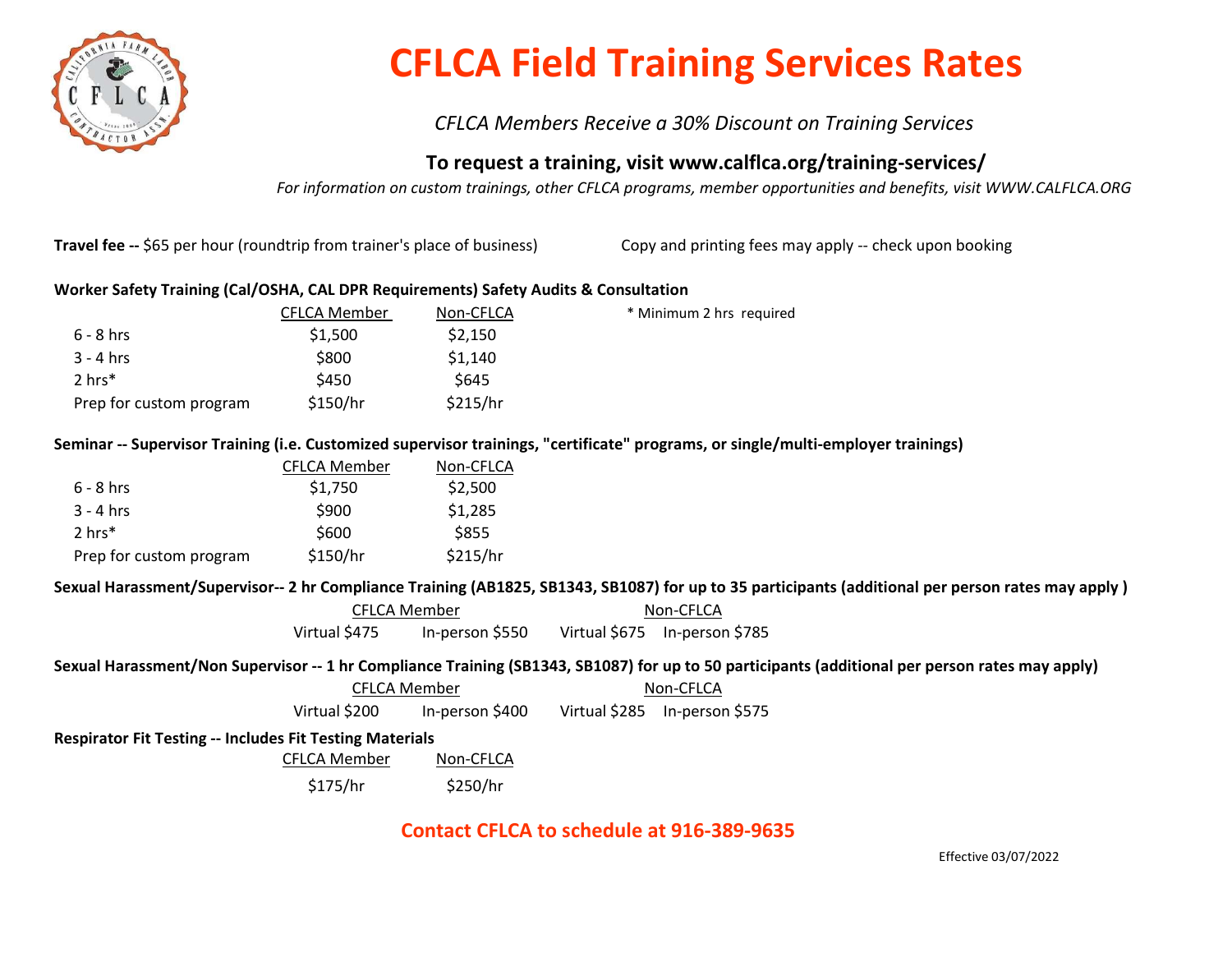

# CFLCA Field Training Services Rates

CFLCA Members Receive a 30% Discount on Training Services

## To request a training, visit www.calflca.org/training-services/

For information on custom trainings, other CFLCA programs, member opportunities and benefits, visit WWW.CALFLCA.ORG

Travel fee -- \$65 per hour (roundtrip from trainer's place of business) Copy and printing fees may apply -- check upon booking

## Worker Safety Training (Cal/OSHA, CAL DPR Requirements) Safety Audits & Consultation

|                         | <b>CFLCA Member</b> | Non-CFLCA   | * Minimum 2 hrs required |
|-------------------------|---------------------|-------------|--------------------------|
| $6 - 8$ hrs             | \$1,500             | \$2,150     |                          |
| $3 - 4$ hrs             | \$800               | \$1,140     |                          |
| $2 \text{ hrs}^*$       | \$450               | <b>S645</b> |                          |
| Prep for custom program | \$150/hr            | \$215/hr    |                          |

## Seminar -- Supervisor Training (i.e. Customized supervisor trainings, "certificate" programs, or single/multi-employer trainings)

|                         | <b>CFLCA Member</b> | Non-CFLCA |
|-------------------------|---------------------|-----------|
| $6 - 8$ hrs             | \$1,750             | \$2,500   |
| $3 - 4$ hrs             | \$900               | \$1,285   |
| $2 \text{ hrs}^*$       | \$600               | \$855     |
| Prep for custom program | \$150/hr            | \$215/hr  |

#### Sexual Harassment/Supervisor-- 2 hr Compliance Training (AB1825, SB1343, SB1087) for up to 35 participants (additional per person rates may apply )

| CFLCA Member  |                 | Non-CFLCA |                               |
|---------------|-----------------|-----------|-------------------------------|
| Virtual \$475 | In-person \$550 |           | Virtual \$675 In-person \$785 |

#### Sexual Harassment/Non Supervisor -- 1 hr Compliance Training (SB1343, SB1087) for up to 50 participants (additional per person rates may apply)

| <b>CFLCA Member</b> |                 | Non-CFLCA |                               |  |
|---------------------|-----------------|-----------|-------------------------------|--|
| Virtual \$200       | In-person \$400 |           | Virtual \$285 In-person \$575 |  |

#### Respirator Fit Testing -- Includes Fit Testing Materials

CFLCA Member Non-CFLCA

\$175/hr \$250/hr

## Contact CFLCA to schedule at 916-389-9635